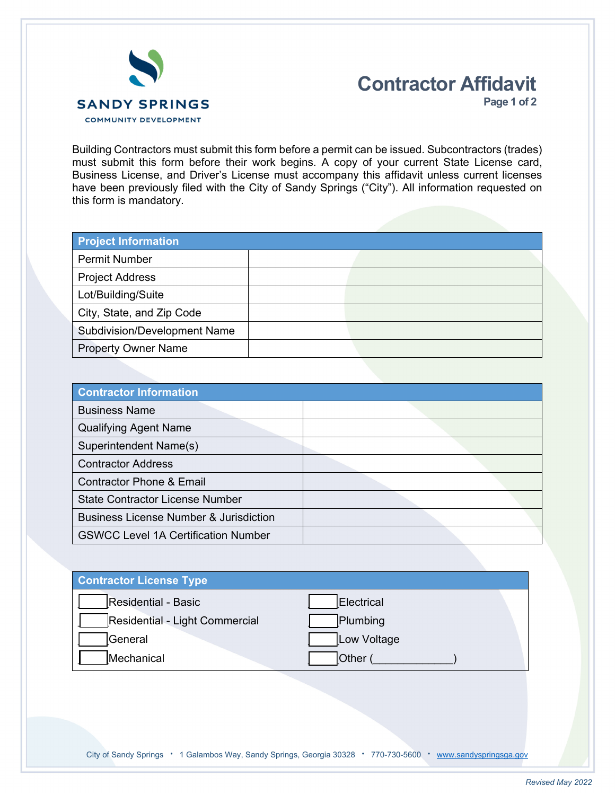

## **Contractor Affidavit**

**Page 1 of 2**

Building Contractors must submit this form before a permit can be issued. Subcontractors (trades) must submit this form before their work begins. A copy of your current State License card, Business License, and Driver's License must accompany this affidavit unless current licenses have been previously filed with the City of Sandy Springs ("City"). All information requested on this form is mandatory.

| <b>Project Information</b>   |  |  |
|------------------------------|--|--|
| <b>Permit Number</b>         |  |  |
| <b>Project Address</b>       |  |  |
| Lot/Building/Suite           |  |  |
| City, State, and Zip Code    |  |  |
| Subdivision/Development Name |  |  |
| <b>Property Owner Name</b>   |  |  |

| <b>Contractor Information</b>                     |  |
|---------------------------------------------------|--|
| <b>Business Name</b>                              |  |
| <b>Qualifying Agent Name</b>                      |  |
| Superintendent Name(s)                            |  |
| <b>Contractor Address</b>                         |  |
| <b>Contractor Phone &amp; Email</b>               |  |
| <b>State Contractor License Number</b>            |  |
| <b>Business License Number &amp; Jurisdiction</b> |  |
| <b>GSWCC Level 1A Certification Number</b>        |  |

| <b>Contractor License Type</b> |              |
|--------------------------------|--------------|
| <b>Residential - Basic</b>     | Electrical   |
| Residential - Light Commercial | Plumbing     |
| <b>General</b>                 | Low Voltage  |
| Mechanical                     | <b>Other</b> |
|                                |              |